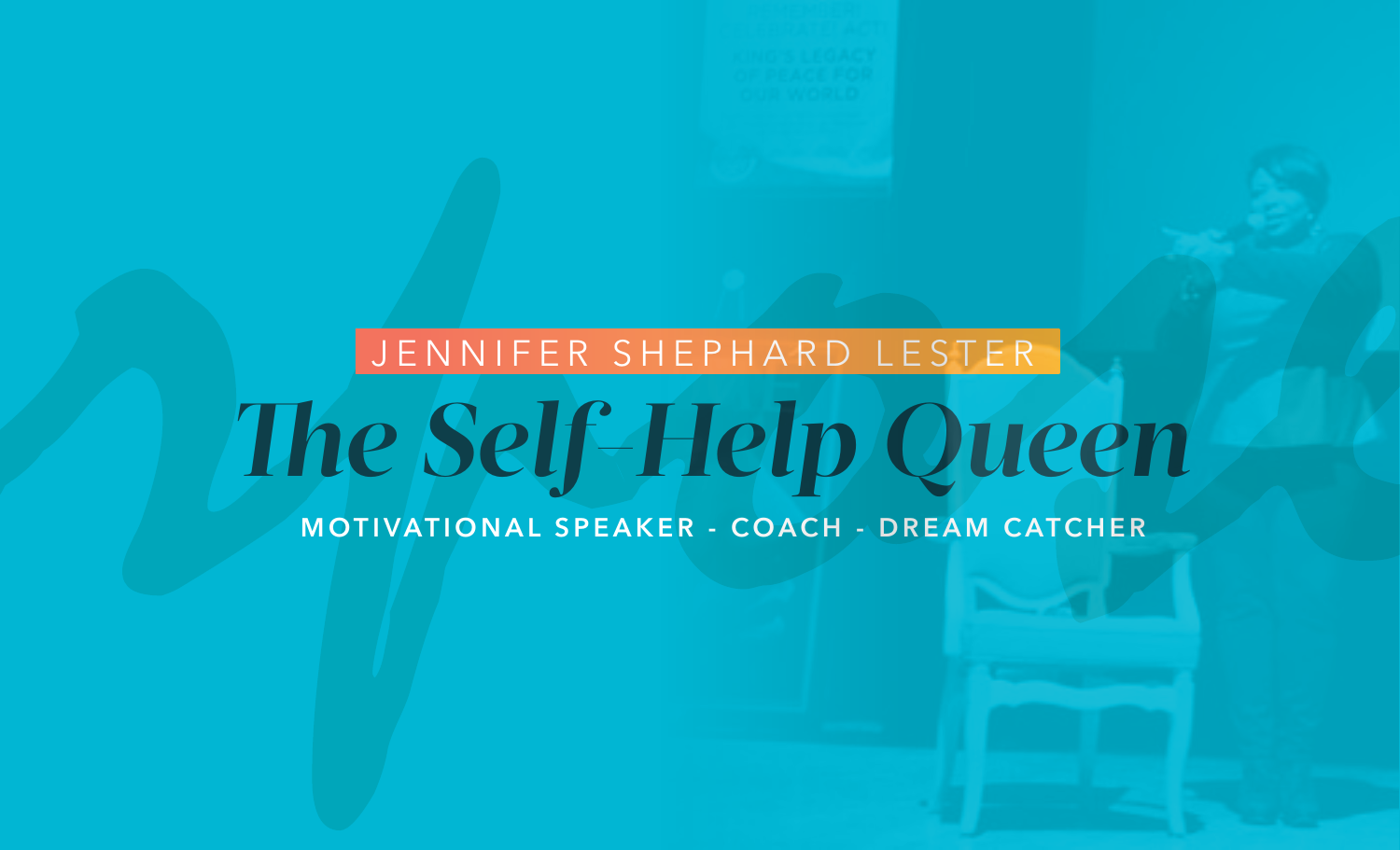# JENNIFER SHEPHARD LESTER The Self-Help Queen

MOTIVATIONAL SPEAKER - COACH - DREAM CATCHER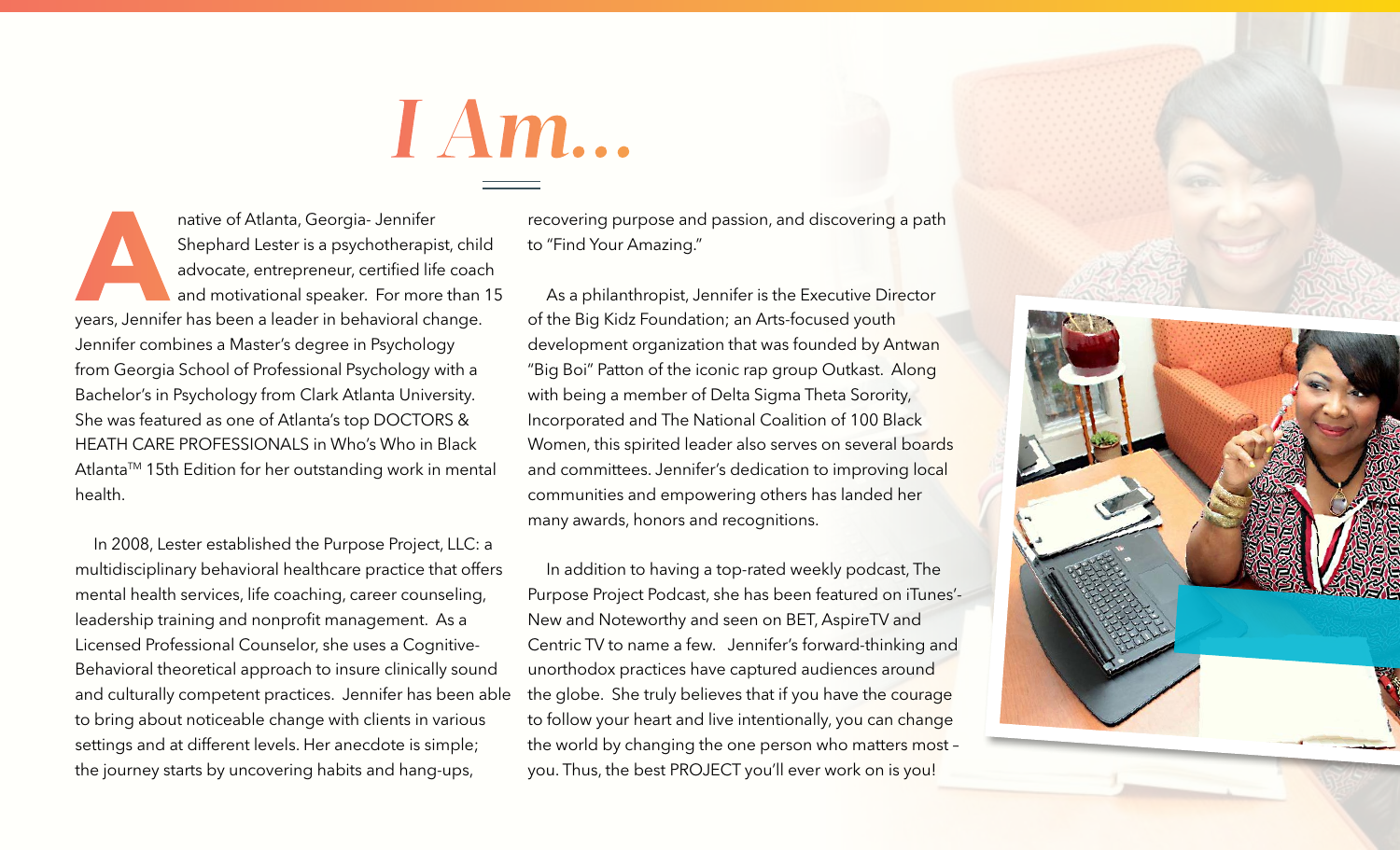

**Anative of Atlanta, Georgia- Jennifer**<br>
Shephard Lester is a psychotherapist, chilo<br>
advocate, entrepreneur, certified life coac<br>
and motivational speaker. For more than<br>
years, Jennifer has been a leader in behavioral ch Shephard Lester is a psychotherapist, child advocate, entrepreneur, certified life coach and motivational speaker. For more than 15 Jennifer combines a Master's degree in Psychology from Georgia School of Professional Psychology with a Bachelor's in Psychology from Clark Atlanta University. She was featured as one of Atlanta's top DOCTORS & HEATH CARE PROFESSIONALS in Who's Who in Black Atlanta™ 15th Edition for her outstanding work in mental health.

In 2008, Lester established the Purpose Project, LLC: a multidisciplinary behavioral healthcare practice that offers mental health services, life coaching, career counseling, leadership training and nonprofit management. As a Licensed Professional Counselor, she uses a Cognitive-Behavioral theoretical approach to insure clinically sound and culturally competent practices. Jennifer has been able to bring about noticeable change with clients in various settings and at different levels. Her anecdote is simple; the journey starts by uncovering habits and hang-ups,

recovering purpose and passion, and discovering a path to "Find Your Amazing."

As a philanthropist, Jennifer is the Executive Director of the Big Kidz Foundation; an Arts-focused youth development organization that was founded by Antwan "Big Boi" Patton of the iconic rap group Outkast. Along with being a member of Delta Sigma Theta Sorority, Incorporated and The National Coalition of 100 Black Women, this spirited leader also serves on several boards and committees. Jennifer's dedication to improving local communities and empowering others has landed her many awards, honors and recognitions.

In addition to having a top-rated weekly podcast, The Purpose Project Podcast, she has been featured on iTunes'- New and Noteworthy and seen on BET, AspireTV and Centric TV to name a few. Jennifer's forward-thinking and unorthodox practices have captured audiences around the globe. She truly believes that if you have the courage to follow your heart and live intentionally, you can change the world by changing the one person who matters most – you. Thus, the best PROJECT you'll ever work on is you!

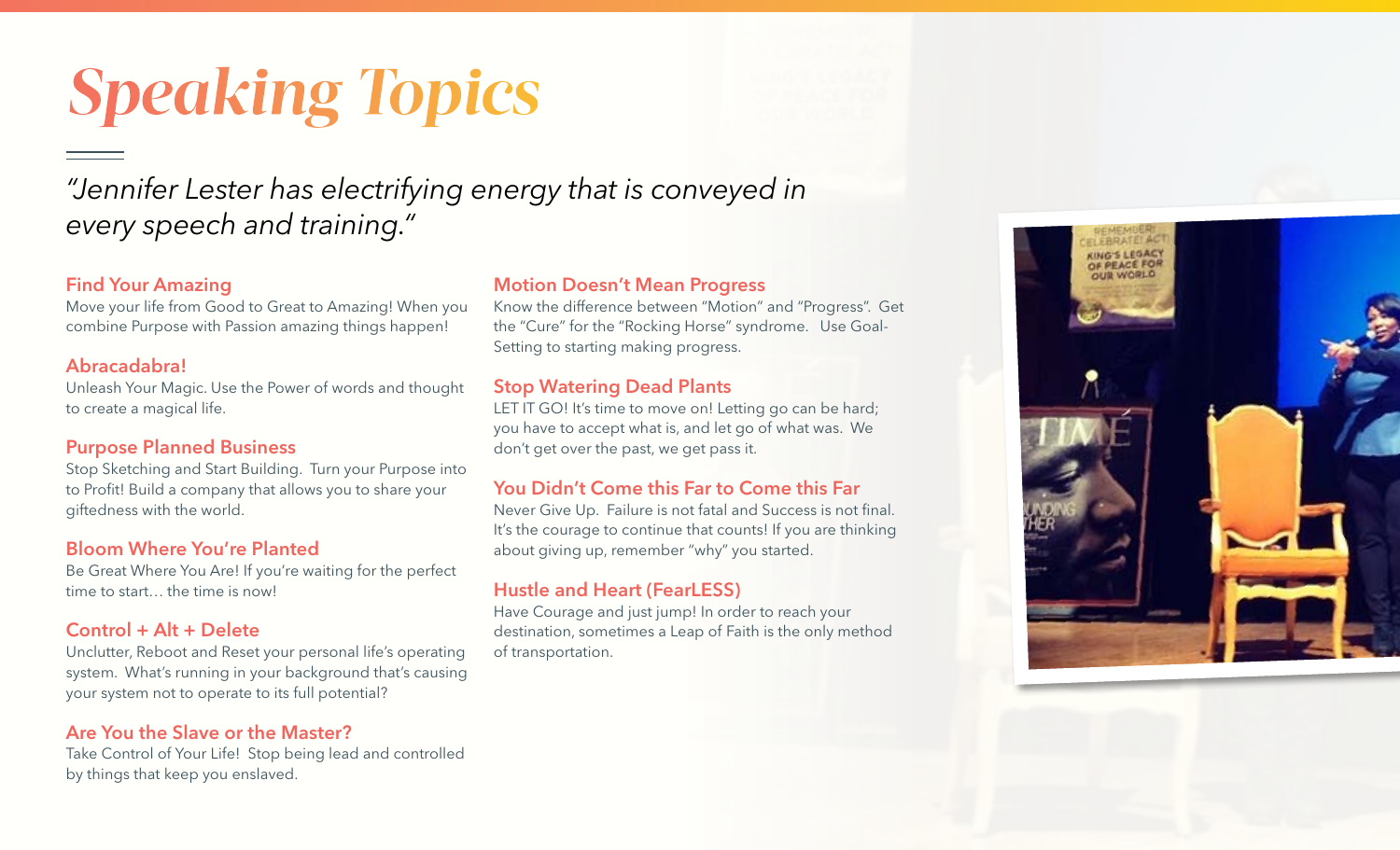# *Speaking Topics*

### *"Jennifer Lester has electrifying energy that is conveyed in every speech and training."*

#### Find Your Amazing

Move your life from Good to Great to Amazing! When you combine Purpose with Passion amazing things happen!

#### Abracadabra!

Unleash Your Magic. Use the Power of words and thought to create a magical life.

#### Purpose Planned Business

Stop Sketching and Start Building. Turn your Purpose into to Profit! Build a company that allows you to share your giftedness with the world.

#### Bloom Where You're Planted

Be Great Where You Are! If you're waiting for the perfect time to start… the time is now!

#### Control + Alt + Delete

Unclutter, Reboot and Reset your personal life's operating system. What's running in your background that's causing your system not to operate to its full potential?

#### Are You the Slave or the Master?

Take Control of Your Life! Stop being lead and controlled by things that keep you enslaved.

#### Motion Doesn't Mean Progress

Know the difference between "Motion" and "Progress". Get the "Cure" for the "Rocking Horse" syndrome. Use Goal-Setting to starting making progress.

#### Stop Watering Dead Plants

LET IT GO! It's time to move on! Letting go can be hard; you have to accept what is, and let go of what was. We don't get over the past, we get pass it.

#### You Didn't Come this Far to Come this Far

Never Give Up. Failure is not fatal and Success is not final. It's the courage to continue that counts! If you are thinking about giving up, remember "why" you started.

#### Hustle and Heart (FearLESS)

Have Courage and just jump! In order to reach your destination, sometimes a Leap of Faith is the only method of transportation.

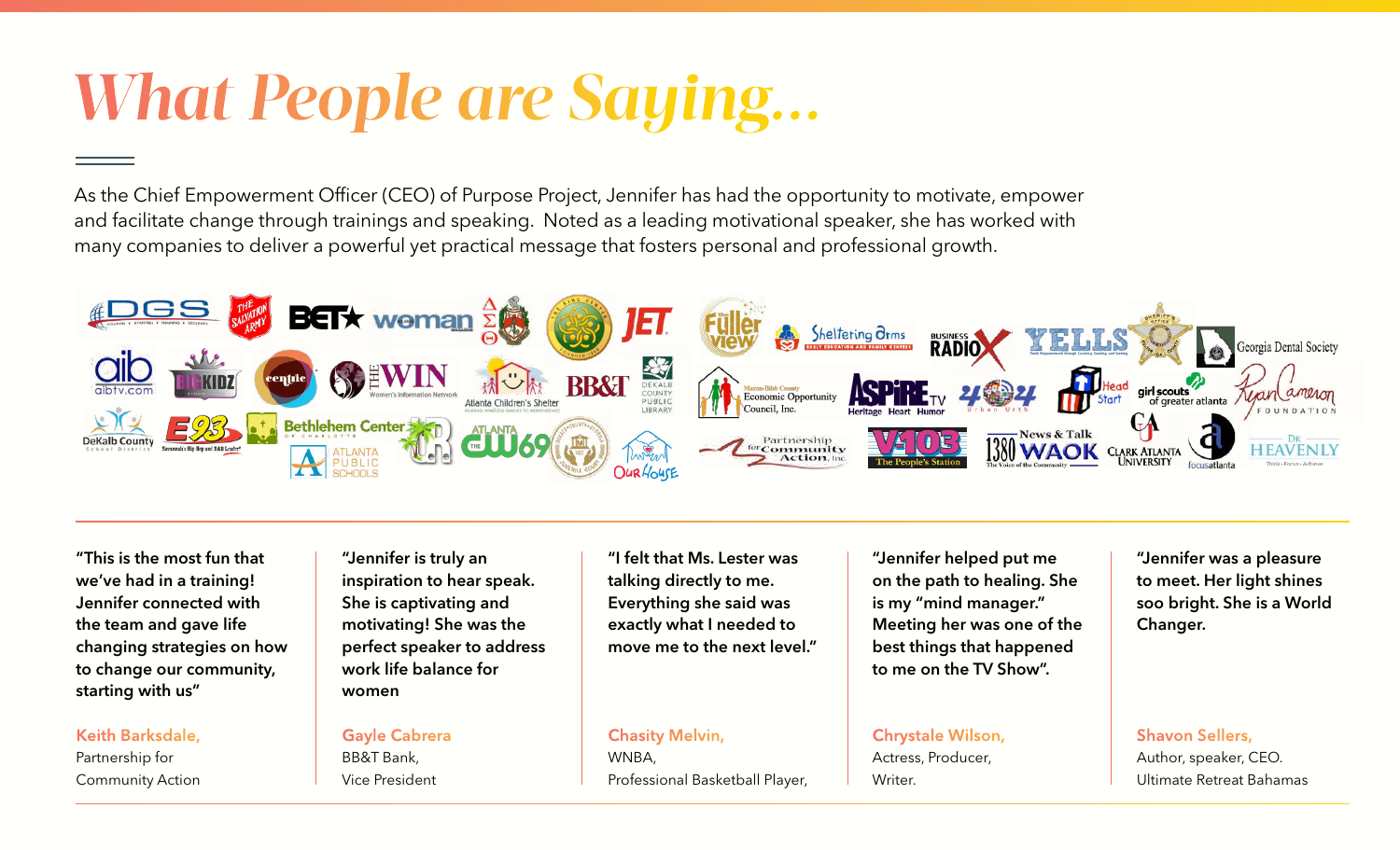## *What People are Saying...*

As the Chief Empowerment Officer (CEO) of Purpose Project, Jennifer has had the opportunity to motivate, empower and facilitate change through trainings and speaking. Noted as a leading motivational speaker, she has worked with many companies to deliver a powerful yet practical message that fosters personal and professional growth.



"This is the most fun that we've had in a training! Jennifer connected with the team and gave life changing strategies on how to change our community, starting with us"

#### Keith Barksdale,

Partnership for Community Action

"Jennifer is truly an inspiration to hear speak. She is captivating and motivating! She was the perfect speaker to address work life balance for women

#### Gayle Cabrera

BB&T Bank, Vice President

"I felt that Ms. Lester was talking directly to me. Everything she said was exactly what I needed to move me to the next level."

#### Chasity Melvin,

WNBA, Professional Basketball Player,

"Jennifer helped put me on the path to healing. She is my "mind manager." Meeting her was one of the best things that happened to me on the TV Show".

Chrystale Wilson, Actress, Producer, Writer.

"Jennifer was a pleasure to meet. Her light shines soo bright. She is a World Changer.

Shavon Sellers, Author, speaker, CEO. Ultimate Retreat Bahamas